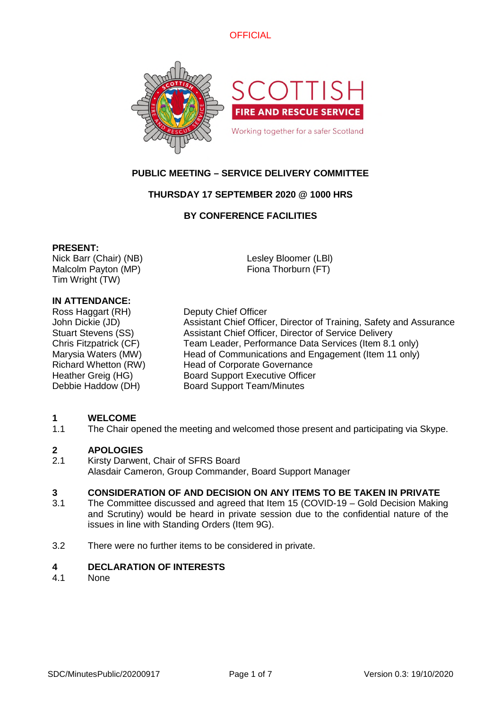



# **PUBLIC MEETING – SERVICE DELIVERY COMMITTEE**

# **THURSDAY 17 SEPTEMBER 2020 @ 1000 HRS**

## **BY CONFERENCE FACILITIES**

### **PRESENT:**

Nick Barr (Chair) (NB) Malcolm Payton (MP) Tim Wright (TW)

Lesley Bloomer (LBl) Fiona Thorburn (FT)

# **IN ATTENDANCE:**

Ross Haggart (RH) Deputy Chief Officer

John Dickie (JD) Assistant Chief Officer, Director of Training, Safety and Assurance Stuart Stevens (SS) Assistant Chief Officer, Director of Service Delivery Chris Fitzpatrick (CF) Team Leader, Performance Data Services (Item 8.1 only) Marysia Waters (MW) Head of Communications and Engagement (Item 11 only) Richard Whetton (RW) Head of Corporate Governance Heather Greig (HG) Board Support Executive Officer Debbie Haddow (DH) Board Support Team/Minutes

# **1 WELCOME**<br>1.1 The Chair or

The Chair opened the meeting and welcomed those present and participating via Skype.

### **2 APOLOGIES**

2.1 Kirsty Darwent, Chair of SFRS Board Alasdair Cameron, Group Commander, Board Support Manager

### **3 CONSIDERATION OF AND DECISION ON ANY ITEMS TO BE TAKEN IN PRIVATE**

- 3.1 The Committee discussed and agreed that Item 15 (COVID-19 – Gold Decision Making and Scrutiny) would be heard in private session due to the confidential nature of the issues in line with Standing Orders (Item 9G).
- 3.2 There were no further items to be considered in private.

## **4 DECLARATION OF INTERESTS**

4.1 None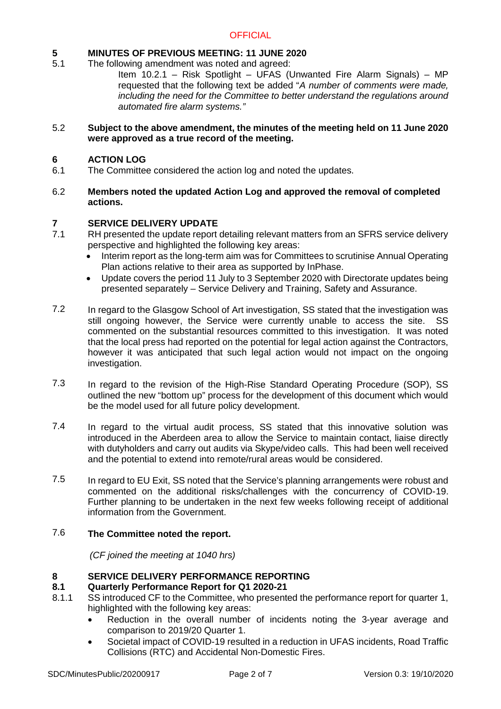# **5 MINUTES OF PREVIOUS MEETING: 11 JUNE 2020**

5.1 The following amendment was noted and agreed:

Item 10.2.1 – Risk Spotlight – UFAS (Unwanted Fire Alarm Signals) – MP requested that the following text be added "*A number of comments were made, including the need for the Committee to better understand the regulations around automated fire alarm systems."*

#### 5.2 **Subject to the above amendment, the minutes of the meeting held on 11 June 2020 were approved as a true record of the meeting.**

# **6 ACTION LOG**

- 6.1 The Committee considered the action log and noted the updates.
- 6.2 **Members noted the updated Action Log and approved the removal of completed actions.**

## **7 SERVICE DELIVERY UPDATE**

- 7.1 RH presented the update report detailing relevant matters from an SFRS service delivery perspective and highlighted the following key areas:
	- Interim report as the long-term aim was for Committees to scrutinise Annual Operating Plan actions relative to their area as supported by InPhase.
	- Update covers the period 11 July to 3 September 2020 with Directorate updates being presented separately – Service Delivery and Training, Safety and Assurance.
- 7.2 In regard to the Glasgow School of Art investigation, SS stated that the investigation was still ongoing however, the Service were currently unable to access the site. SS commented on the substantial resources committed to this investigation. It was noted that the local press had reported on the potential for legal action against the Contractors, however it was anticipated that such legal action would not impact on the ongoing investigation.
- 7.3 In regard to the revision of the High-Rise Standard Operating Procedure (SOP), SS outlined the new "bottom up" process for the development of this document which would be the model used for all future policy development.
- 7.4 In regard to the virtual audit process, SS stated that this innovative solution was introduced in the Aberdeen area to allow the Service to maintain contact, liaise directly with dutyholders and carry out audits via Skype/video calls. This had been well received and the potential to extend into remote/rural areas would be considered.
- 7.5 In regard to EU Exit, SS noted that the Service's planning arrangements were robust and commented on the additional risks/challenges with the concurrency of COVID-19. Further planning to be undertaken in the next few weeks following receipt of additional information from the Government.

#### 7.6 **The Committee noted the report.**

*(CF joined the meeting at 1040 hrs)*

# **8 SERVICE DELIVERY PERFORMANCE REPORTING**

### **8.1 Quarterly Performance Report for Q1 2020-21**

- 8.1.1 SS introduced CF to the Committee, who presented the performance report for quarter 1, highlighted with the following key areas:
	- Reduction in the overall number of incidents noting the 3-year average and comparison to 2019/20 Quarter 1.
	- Societal impact of COVID-19 resulted in a reduction in UFAS incidents, Road Traffic Collisions (RTC) and Accidental Non-Domestic Fires.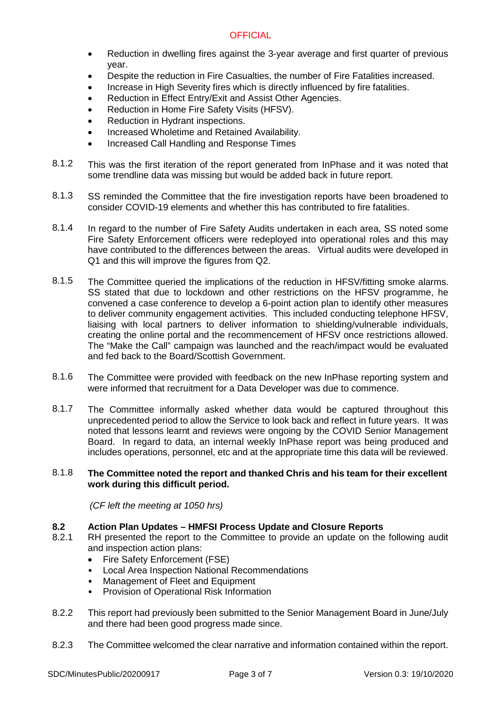- Reduction in dwelling fires against the 3-year average and first quarter of previous year.
- Despite the reduction in Fire Casualties, the number of Fire Fatalities increased.
- Increase in High Severity fires which is directly influenced by fire fatalities.
- Reduction in Effect Entry/Exit and Assist Other Agencies.
- Reduction in Home Fire Safety Visits (HFSV).
- Reduction in Hydrant inspections.
- Increased Wholetime and Retained Availability.
- Increased Call Handling and Response Times
- 8.1.2 This was the first iteration of the report generated from InPhase and it was noted that some trendline data was missing but would be added back in future report.
- 8.1.3 SS reminded the Committee that the fire investigation reports have been broadened to consider COVID-19 elements and whether this has contributed to fire fatalities.
- 8.1.4 In regard to the number of Fire Safety Audits undertaken in each area, SS noted some Fire Safety Enforcement officers were redeployed into operational roles and this may have contributed to the differences between the areas. Virtual audits were developed in Q1 and this will improve the figures from Q2.
- 8.1.5 The Committee queried the implications of the reduction in HFSV/fitting smoke alarms. SS stated that due to lockdown and other restrictions on the HFSV programme, he convened a case conference to develop a 6-point action plan to identify other measures to deliver community engagement activities. This included conducting telephone HFSV, liaising with local partners to deliver information to shielding/vulnerable individuals, creating the online portal and the recommencement of HFSV once restrictions allowed. The "Make the Call" campaign was launched and the reach/impact would be evaluated and fed back to the Board/Scottish Government.
- 8.1.6 The Committee were provided with feedback on the new InPhase reporting system and were informed that recruitment for a Data Developer was due to commence.
- 8.1.7 The Committee informally asked whether data would be captured throughout this unprecedented period to allow the Service to look back and reflect in future years. It was noted that lessons learnt and reviews were ongoing by the COVID Senior Management Board. In regard to data, an internal weekly InPhase report was being produced and includes operations, personnel, etc and at the appropriate time this data will be reviewed.

#### 8.1.8 **The Committee noted the report and thanked Chris and his team for their excellent work during this difficult period.**

*(CF left the meeting at 1050 hrs)*

# **8.2 Action Plan Updates – HMFSI Process Update and Closure Reports**

- 8.2.1 RH presented the report to the Committee to provide an update on the following audit and inspection action plans:
	- Fire Safety Enforcement (FSE)
	- Local Area Inspection National Recommendations
	- Management of Fleet and Equipment
	- Provision of Operational Risk Information
- 8.2.2 This report had previously been submitted to the Senior Management Board in June/July and there had been good progress made since.
- 8.2.3 The Committee welcomed the clear narrative and information contained within the report.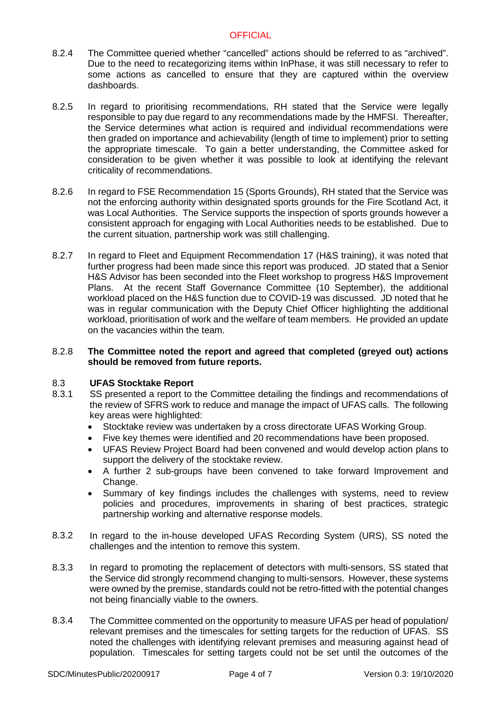- 8.2.4 The Committee queried whether "cancelled" actions should be referred to as "archived". Due to the need to recategorizing items within InPhase, it was still necessary to refer to some actions as cancelled to ensure that they are captured within the overview dashboards.
- 8.2.5 In regard to prioritising recommendations, RH stated that the Service were legally responsible to pay due regard to any recommendations made by the HMFSI. Thereafter, the Service determines what action is required and individual recommendations were then graded on importance and achievability (length of time to implement) prior to setting the appropriate timescale. To gain a better understanding, the Committee asked for consideration to be given whether it was possible to look at identifying the relevant criticality of recommendations.
- 8.2.6 In regard to FSE Recommendation 15 (Sports Grounds), RH stated that the Service was not the enforcing authority within designated sports grounds for the Fire Scotland Act, it was Local Authorities. The Service supports the inspection of sports grounds however a consistent approach for engaging with Local Authorities needs to be established. Due to the current situation, partnership work was still challenging.
- 8.2.7 In regard to Fleet and Equipment Recommendation 17 (H&S training), it was noted that further progress had been made since this report was produced. JD stated that a Senior H&S Advisor has been seconded into the Fleet workshop to progress H&S Improvement Plans. At the recent Staff Governance Committee (10 September), the additional workload placed on the H&S function due to COVID-19 was discussed. JD noted that he was in regular communication with the Deputy Chief Officer highlighting the additional workload, prioritisation of work and the welfare of team members. He provided an update on the vacancies within the team.

#### 8.2.8 **The Committee noted the report and agreed that completed (greyed out) actions should be removed from future reports.**

#### 8.3 **UFAS Stocktake Report**

- 8.3.1 SS presented a report to the Committee detailing the findings and recommendations of the review of SFRS work to reduce and manage the impact of UFAS calls. The following key areas were highlighted:
	- Stocktake review was undertaken by a cross directorate UFAS Working Group.
	- Five key themes were identified and 20 recommendations have been proposed.
	- UFAS Review Project Board had been convened and would develop action plans to support the delivery of the stocktake review.
	- A further 2 sub-groups have been convened to take forward Improvement and Change.
	- Summary of key findings includes the challenges with systems, need to review policies and procedures, improvements in sharing of best practices, strategic partnership working and alternative response models.
- 8.3.2 In regard to the in-house developed UFAS Recording System (URS), SS noted the challenges and the intention to remove this system.
- 8.3.3 In regard to promoting the replacement of detectors with multi-sensors, SS stated that the Service did strongly recommend changing to multi-sensors. However, these systems were owned by the premise, standards could not be retro-fitted with the potential changes not being financially viable to the owners.
- 8.3.4 The Committee commented on the opportunity to measure UFAS per head of population/ relevant premises and the timescales for setting targets for the reduction of UFAS. SS noted the challenges with identifying relevant premises and measuring against head of population. Timescales for setting targets could not be set until the outcomes of the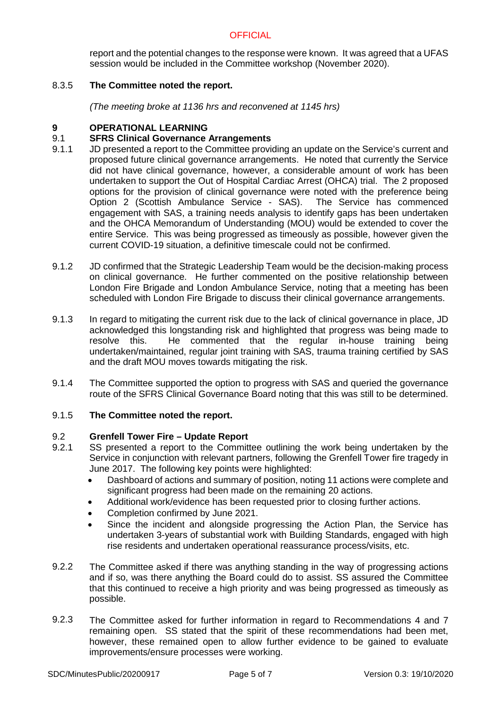report and the potential changes to the response were known. It was agreed that a UFAS session would be included in the Committee workshop (November 2020).

#### 8.3.5 **The Committee noted the report.**

*(The meeting broke at 1136 hrs and reconvened at 1145 hrs)*

## **9 OPERATIONAL LEARNING**

#### 9.1 **SFRS Clinical Governance Arrangements**

- 9.1.1 JD presented a report to the Committee providing an update on the Service's current and proposed future clinical governance arrangements. He noted that currently the Service did not have clinical governance, however, a considerable amount of work has been undertaken to support the Out of Hospital Cardiac Arrest (OHCA) trial. The 2 proposed options for the provision of clinical governance were noted with the preference being Option 2 (Scottish Ambulance Service - SAS). The Service has commenced engagement with SAS, a training needs analysis to identify gaps has been undertaken and the OHCA Memorandum of Understanding (MOU) would be extended to cover the entire Service. This was being progressed as timeously as possible, however given the current COVID-19 situation, a definitive timescale could not be confirmed.
- 9.1.2 JD confirmed that the Strategic Leadership Team would be the decision-making process on clinical governance. He further commented on the positive relationship between London Fire Brigade and London Ambulance Service, noting that a meeting has been scheduled with London Fire Brigade to discuss their clinical governance arrangements.
- 9.1.3 In regard to mitigating the current risk due to the lack of clinical governance in place, JD acknowledged this longstanding risk and highlighted that progress was being made to resolve this. He commented that the regular in-house training being undertaken/maintained, regular joint training with SAS, trauma training certified by SAS and the draft MOU moves towards mitigating the risk.
- 9.1.4 The Committee supported the option to progress with SAS and queried the governance route of the SFRS Clinical Governance Board noting that this was still to be determined.

#### 9.1.5 **The Committee noted the report.**

### 9.2 **Grenfell Tower Fire – Update Report**

- 9.2.1 SS presented a report to the Committee outlining the work being undertaken by the Service in conjunction with relevant partners, following the Grenfell Tower fire tragedy in June 2017. The following key points were highlighted:
	- Dashboard of actions and summary of position, noting 11 actions were complete and significant progress had been made on the remaining 20 actions.
	- Additional work/evidence has been requested prior to closing further actions.
	- Completion confirmed by June 2021.
	- Since the incident and alongside progressing the Action Plan, the Service has undertaken 3-years of substantial work with Building Standards, engaged with high rise residents and undertaken operational reassurance process/visits, etc.
- 9.2.2 The Committee asked if there was anything standing in the way of progressing actions and if so, was there anything the Board could do to assist. SS assured the Committee that this continued to receive a high priority and was being progressed as timeously as possible.
- 9.2.3 The Committee asked for further information in regard to Recommendations 4 and 7 remaining open. SS stated that the spirit of these recommendations had been met, however, these remained open to allow further evidence to be gained to evaluate improvements/ensure processes were working.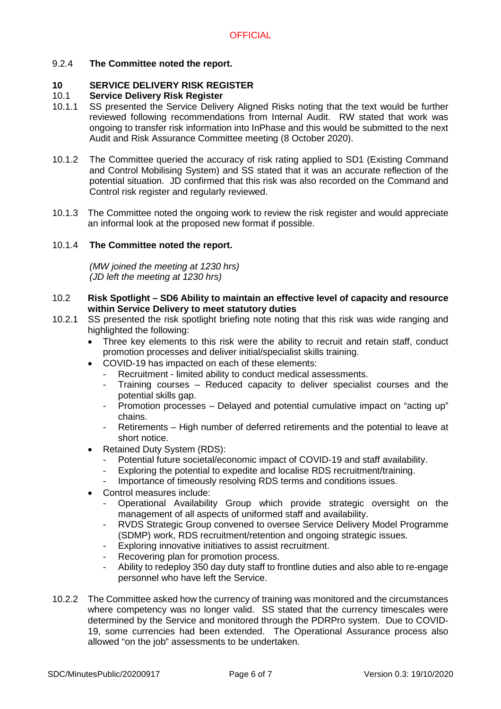# 9.2.4 **The Committee noted the report.**

# **10 SERVICE DELIVERY RISK REGISTER**

### 10.1 **Service Delivery Risk Register**

- 10.1.1 SS presented the Service Delivery Aligned Risks noting that the text would be further reviewed following recommendations from Internal Audit. RW stated that work was ongoing to transfer risk information into InPhase and this would be submitted to the next Audit and Risk Assurance Committee meeting (8 October 2020).
- 10.1.2 The Committee queried the accuracy of risk rating applied to SD1 (Existing Command and Control Mobilising System) and SS stated that it was an accurate reflection of the potential situation. JD confirmed that this risk was also recorded on the Command and Control risk register and regularly reviewed.
- 10.1.3 The Committee noted the ongoing work to review the risk register and would appreciate an informal look at the proposed new format if possible.

### 10.1.4 **The Committee noted the report.**

*(MW joined the meeting at 1230 hrs) (JD left the meeting at 1230 hrs)*

- 10.2 **Risk Spotlight SD6 Ability to maintain an effective level of capacity and resource within Service Delivery to meet statutory duties**
- 10.2.1 SS presented the risk spotlight briefing note noting that this risk was wide ranging and highlighted the following:
	- Three key elements to this risk were the ability to recruit and retain staff, conduct promotion processes and deliver initial/specialist skills training.
	- COVID-19 has impacted on each of these elements:
		- Recruitment limited ability to conduct medical assessments.
		- Training courses Reduced capacity to deliver specialist courses and the potential skills gap.
		- Promotion processes Delayed and potential cumulative impact on "acting up" chains.
		- Retirements High number of deferred retirements and the potential to leave at short notice.
	- Retained Duty System (RDS):
		- Potential future societal/economic impact of COVID-19 and staff availability.
		- Exploring the potential to expedite and localise RDS recruitment/training.
		- Importance of timeously resolving RDS terms and conditions issues.
	- Control measures include:
		- Operational Availability Group which provide strategic oversight on the management of all aspects of uniformed staff and availability.
		- RVDS Strategic Group convened to oversee Service Delivery Model Programme (SDMP) work, RDS recruitment/retention and ongoing strategic issues.
		- Exploring innovative initiatives to assist recruitment.
		- Recovering plan for promotion process.
		- Ability to redeploy 350 day duty staff to frontline duties and also able to re-engage personnel who have left the Service.
- 10.2.2 The Committee asked how the currency of training was monitored and the circumstances where competency was no longer valid. SS stated that the currency timescales were determined by the Service and monitored through the PDRPro system. Due to COVID-19, some currencies had been extended. The Operational Assurance process also allowed "on the job" assessments to be undertaken.